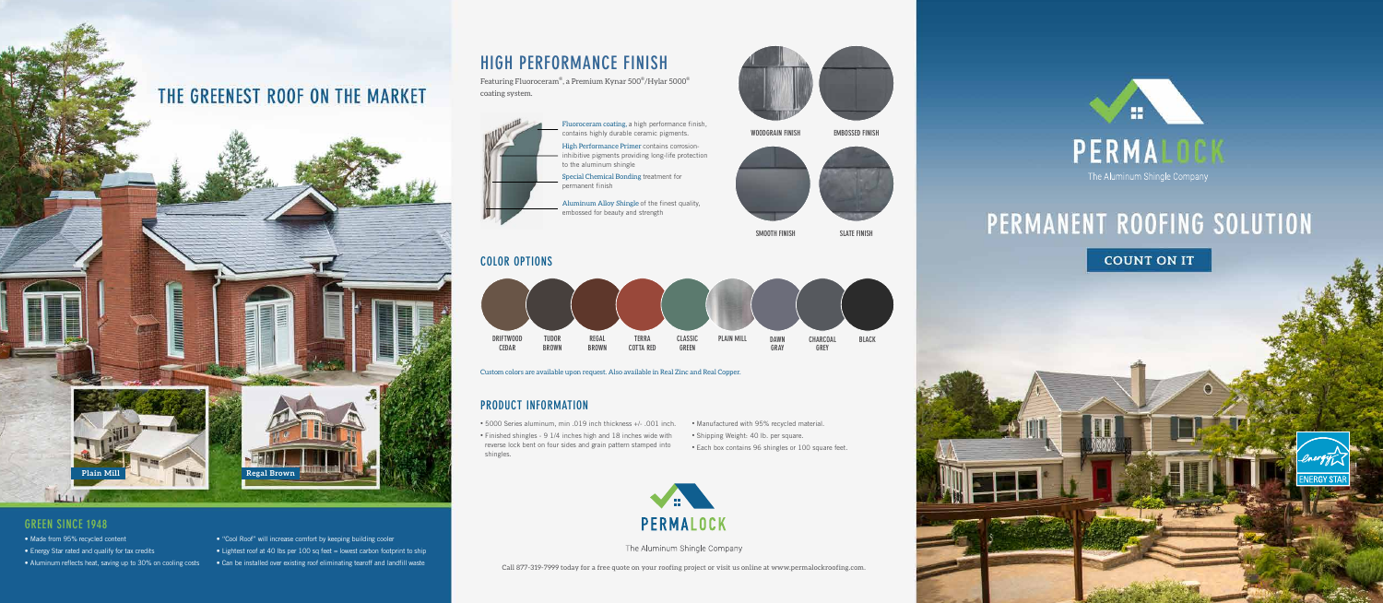- Made from 95% recycled content
- Energy Star rated and qualify for tax credits
- Aluminum reflects heat, saving up to 30% on cooling costs
- "Cool Roof" will increase comfort by keeping building cooler
- Lightest roof at 40 lbs per 100 sq feet = lowest carbon footprint to ship
- Can be installed over existing roof eliminating tearoff and landfill waste

# **GREEN SINCE 1948**

- 5000 Series aluminum, min .019 inch thickness +/- .001 inch. Manufactured with 95% recycled material.
- Finished shingles 9 1/4 inches high and 18 inches wide with reverse lock bent on four sides and grain pattern stamped into shingles.



The Aluminum Shingle Company

Custom colors are available upon request. Also available in Real Zinc and Real Copper.

Featuring Fluoroceram® , a Premium Kynar 500® /Hylar 5000® coating system.



- 
- Shipping Weight: 40 lb. per square.
- Each box contains 96 shingles or 100 square feet.



# PERMANENT ROOFING SOLUTION

**COUNT ON IT** 



# **PRODUCT INFORMATION**

## **COLOR OPTIONS**

# **HIGH PERFORMANCE FINISH**

Fluoroceram coating, a high performance finish, contains highly durable ceramic pigments.

High Performance Primer contains corrosioninhibitive pigments providing long-life protection to the aluminum shingle

Special Chemical Bonding treatment for permanent finish

Aluminum Alloy Shingle of the finest quality, embossed for beauty and strength

Call 877-319-7999 today for a free quote on your roofing project or visit us online at www.permalockroofing.com.

# THE GREENEST ROOF ON THE MARKET